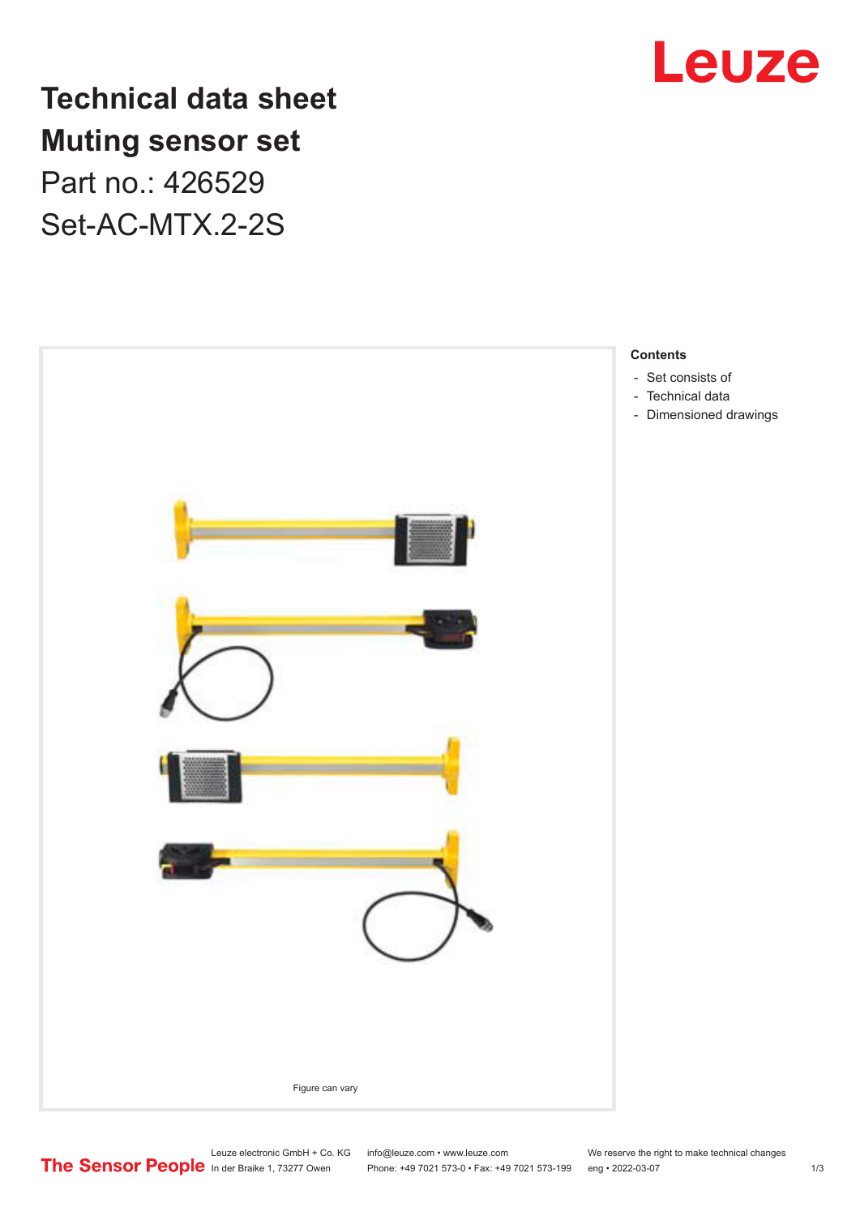

**Technical data sheet Muting sensor set** Part no.: 426529 Set-AC-MTX.2-2S



- 
- 
- [Dimensioned drawings](#page-2-0)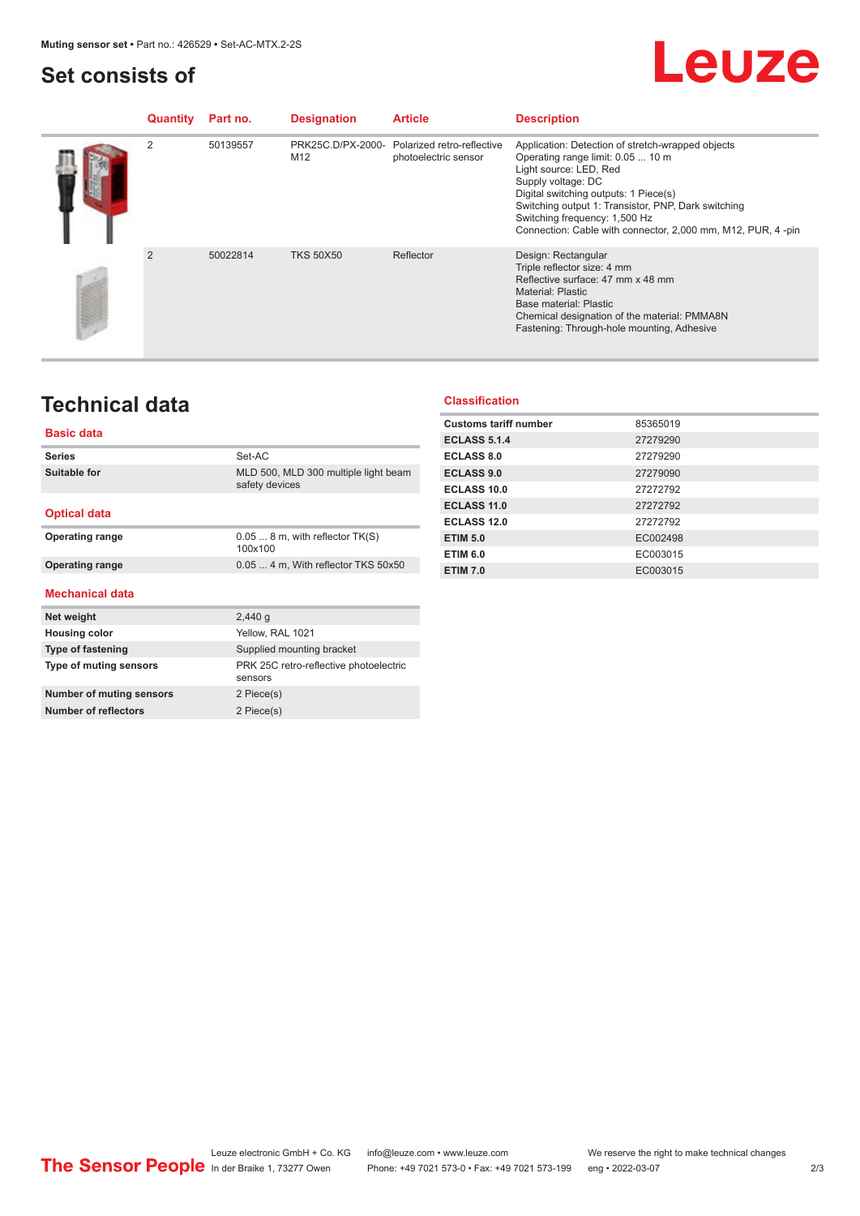### <span id="page-1-0"></span>**Set consists of**

## Leuze

| Quantity | Part no. | <b>Designation</b> | <b>Article</b>                                                       | <b>Description</b>                                                                                                                                                                                                                                                                                                                      |
|----------|----------|--------------------|----------------------------------------------------------------------|-----------------------------------------------------------------------------------------------------------------------------------------------------------------------------------------------------------------------------------------------------------------------------------------------------------------------------------------|
| 2        | 50139557 | M <sub>12</sub>    | PRK25C.D/PX-2000- Polarized retro-reflective<br>photoelectric sensor | Application: Detection of stretch-wrapped objects<br>Operating range limit: 0.05  10 m<br>Light source: LED, Red<br>Supply voltage: DC<br>Digital switching outputs: 1 Piece(s)<br>Switching output 1: Transistor, PNP, Dark switching<br>Switching frequency: 1,500 Hz<br>Connection: Cable with connector, 2,000 mm, M12, PUR, 4 -pin |
| 2        | 50022814 | <b>TKS 50X50</b>   | Reflector                                                            | Design: Rectangular<br>Triple reflector size: 4 mm<br>Reflective surface: 47 mm x 48 mm<br><b>Material: Plastic</b><br>Base material: Plastic<br>Chemical designation of the material: PMMA8N<br>Fastening: Through-hole mounting, Adhesive                                                                                             |

## **Technical data**

### **Basic data**

| <b>Series</b>            | Set-AC                                                 |
|--------------------------|--------------------------------------------------------|
| <b>Suitable for</b>      | MLD 500, MLD 300 multiple light beam<br>safety devices |
| <b>Optical data</b>      |                                                        |
| <b>Operating range</b>   | $0.058$ m, with reflector TK(S)<br>100x100             |
| <b>Operating range</b>   | 0.05  4 m, With reflector TKS 50x50                    |
| <b>Mechanical data</b>   |                                                        |
| Net weight               | 2,440q                                                 |
| <b>Housing color</b>     | Yellow, RAL 1021                                       |
| <b>Type of fastening</b> | Supplied mounting bracket                              |
| Type of muting sensors   | PRK 25C retro-reflective photoelectric<br>sensors      |
| Number of muting sensors | 2 Piece(s)                                             |
| Number of reflectors     |                                                        |

#### **Classification**

| <b>Customs tariff number</b> | 85365019 |  |
|------------------------------|----------|--|
| <b>ECLASS 5.1.4</b>          | 27279290 |  |
| <b>ECLASS 8.0</b>            | 27279290 |  |
| <b>ECLASS 9.0</b>            | 27279090 |  |
| ECLASS 10.0                  | 27272792 |  |
| <b>ECLASS 11.0</b>           | 27272792 |  |
| ECLASS 12.0                  | 27272792 |  |
| <b>ETIM 5.0</b>              | EC002498 |  |
| <b>ETIM 6.0</b>              | EC003015 |  |
| <b>ETIM 7.0</b>              | EC003015 |  |
|                              |          |  |